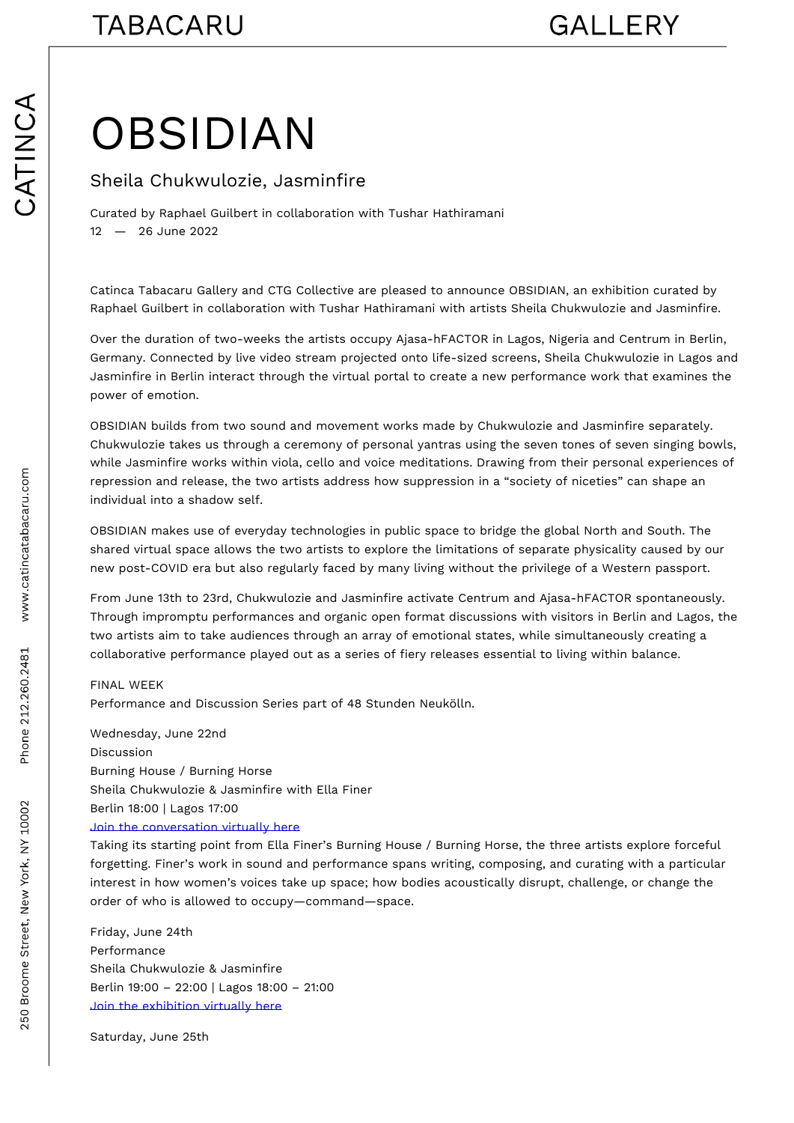## **OBSIDIAN**

## Sheila Chukwulozie, Jasminfire

Curated by Raphael Guilbert in collaboration with Tushar Hathiramani 12 26June2022

Catinca Tabacaru GaDe GC and dictive are pleased to O & nGn Du, A and exhibition curated by Raphael Guilbert in collaboration with Tushar Hathiramani with artists Sheila Chukw

Over the duration of two-weeks the artists occupy Ajasa-hFACTOR in Lagos, Nigeria Germany. Connected by live video stream projected onto life-sized screens, Sheila C Jasminfire in Berlin interact through the virtual portal to create a new performance v power of emotion.

OBSIDIAN ilds from two sound and movement works made by Chukwulozie and Jasminf Chukwulozie takes us through a ceremony of personal yantras using the seven tones while Jasminfire works within viola, cello and voice meditations. Drawing from their repression and release, the two artists address how suppression in a society of nice individual into a shadow self.

OBSIDIAnNakes use of everyday technologies in public space to bridge the global Nort shared virtual space allows the two artists to explore the limitations of separate phy new postOVID ra but also regularly faced by many living without the privilege of a We

From June 13th to 23rd, Chukwulozie and Jasminfire activate Centrum and Ajasa-hFA Through impromptu performances and organic open format discussions with visitors i two artists aim to take audiences through an array of emotional states, while simulta collaborative performance played out as a series of fiery releases essential to living

## FINALWEEK

Performance and Discussion Series part of 48 Stunden Neukölln.

Wednesday, June 22nd Discussion Burning House / Burning Horse Sheila Chukwulozie & Jasminfire with Ella Finer Berlin 18:00 | Lagos 17:00 Join the conversation virtually here

Taking its starting point from Ella Finer s Burning House / Burning Horse, the three forgetting. Finer s work in sound and performance spans writing, composing, and cur [interest in how women s](https://us02web.zoom.us/webinar/register/WN_lQm9L4WVRP-nAQjkzUMgfQ) voices take up space; how bodies acoustically disrupt, chal order of who is allowed to occupy command space.

Friday, June 24th Performance Sheila Chukwulozie & Jasminfire Berlin 19:00 22:00 | Lagos 18:00 21:00 Join the exhibition virtually here

Saturday, June 25th